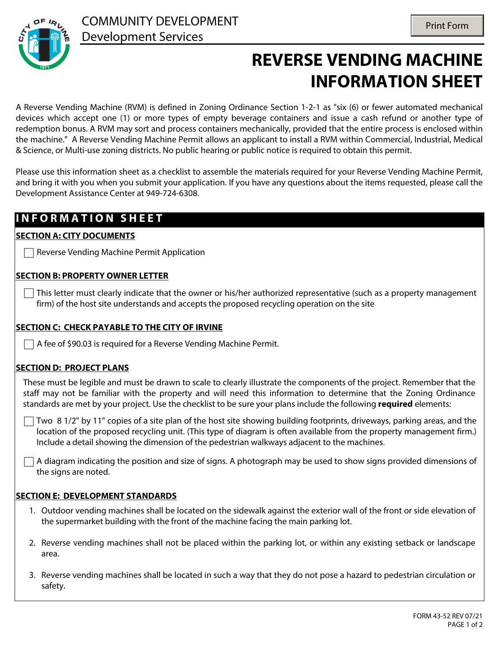

# **REVERSE VENDING MACHINE INFORMATION SHEET**

A Reverse Vending Machine (RVM) is defined in Zoning Ordinance Section 1-2-1 as "six (6) or fewer automated mechanical devices which accept one (1) or more types of empty beverage containers and issue a cash refund or another type of redemption bonus. A RVM may sort and process containers mechanically, provided that the entire process is enclosed within the machine." A Reverse Vending Machine Permit allows an applicant to install a RVM within Commercial, Industrial, Medical & Science, or Multi-use zoning districts. No public hearing or public notice is required to obtain this permit.

Please use this information sheet as a checklist to assemble the materials required for your Reverse Vending Machine Permit, and bring it with you when you submit your application. If you have any questions about the items requested, please call the Development Assistance Center at 949-724-6308.

### **I N F O R M A T I O N S H E E T**

#### **SECTION A: CITY DOCUMENTS**

 $\Box$  Reverse Vending Machine Permit Application

#### **SECTION B: PROPERTY OWNER LETTER**

 $\vert \ \vert$  This letter must clearly indicate that the owner or his/her authorized representative (such as a property management firm) of the host site understands and accepts the proposed recycling operation on the site

#### **SECTION C: CHECK PAYABLE TO THE CITY OF IRVINE**

A fee of \$90.03 is required for a Reverse Vending Machine Permit.

#### **SECTION D: PROJECT PLANS**

These must be legible and must be drawn to scale to clearly illustrate the components of the project. Remember that the staff may not be familiar with the property and will need this information to determine that the Zoning Ordinance standards are met by your project. Use the checklist to be sure your plans include the following **required** elements:

 $\Box$  Two 8 1/2" by 11" copies of a site plan of the host site showing building footprints, driveways, parking areas, and the location of the proposed recycling unit. (This type of diagram is often available from the property management firm.) Include a detail showing the dimension of the pedestrian walkways adjacent to the machines.

A diagram indicating the position and size of signs. A photograph may be used to show signs provided dimensions of the signs are noted.

#### **SECTION E: DEVELOPMENT STANDARDS**

- 1. Outdoor vending machines shall be located on the sidewalk against the exterior wall of the front or side elevation of the supermarket building with the front of the machine facing the main parking lot.
- 2. Reverse vending machines shall not be placed within the parking lot, or within any existing setback or landscape area.
- 3. Reverse vending machines shall be located in such a way that they do not pose a hazard to pedestrian circulation or safety.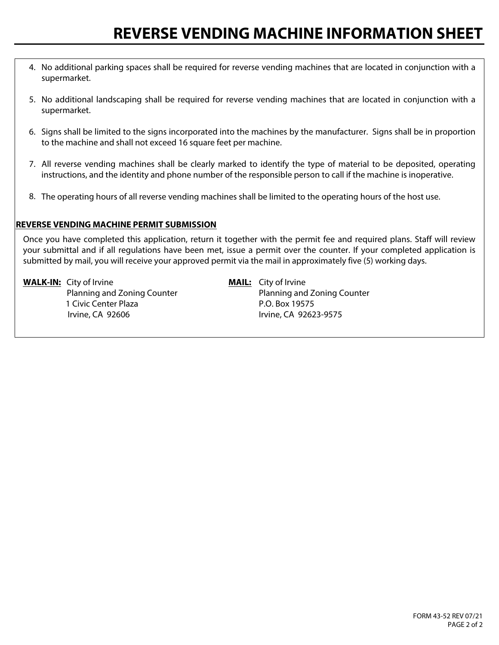- 4. No additional parking spaces shall be required for reverse vending machines that are located in conjunction with a supermarket.
- 5. No additional landscaping shall be required for reverse vending machines that are located in conjunction with a supermarket.
- 6. Signs shall be limited to the signs incorporated into the machines by the manufacturer. Signs shall be in proportion to the machine and shall not exceed 16 square feet per machine.
- 7. All reverse vending machines shall be clearly marked to identify the type of material to be deposited, operating instructions, and the identity and phone number of the responsible person to call if the machine is inoperative.
- 8. The operating hours of all reverse vending machines shall be limited to the operating hours of the host use.

#### **REVERSE VENDING MACHINE PERMIT SUBMISSION**

Once you have completed this application, return it together with the permit fee and required plans. Staff will review your submittal and if all regulations have been met, issue a permit over the counter. If your completed application is submitted by mail, you will receive your approved permit via the mail in approximately five (5) working days.

**WALK-IN:** City of Irvine **MAIL:** City of Irvine 1 Civic Center Plaza **P.O. Box 19575** Irvine, CA 92606 Irvine, CA 92623-9575

Planning and Zoning Counter Planning and Zoning Counter